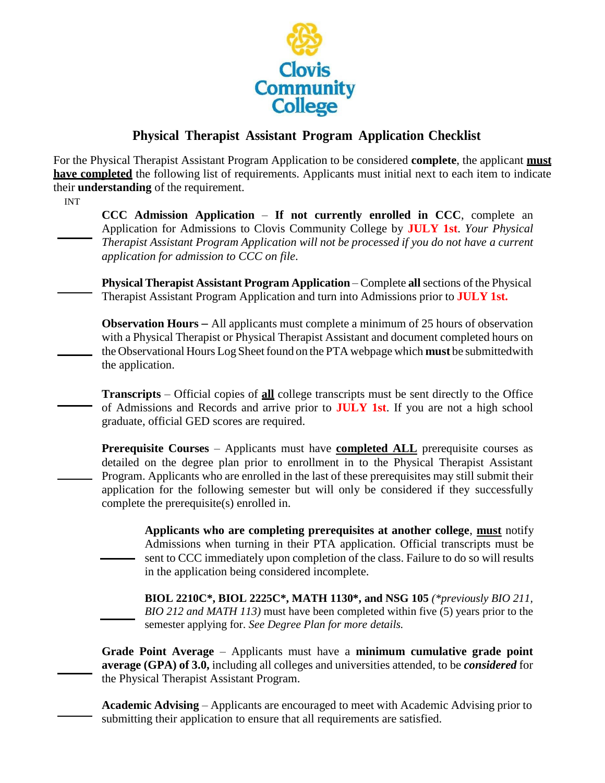

## **Physical Therapist Assistant Program Application Checklist**

For the Physical Therapist Assistant Program Application to be considered **complete**, the applicant **must have completed** the following list of requirements. Applicants must initial next to each item to indicate their **understanding** of the requirement.

INT

**CCC Admission Application** – **If not currently enrolled in CCC**, complete an Application for Admissions to Clovis Community College by **JULY 1st**. *Your Physical Therapist Assistant Program Application will not be processed if you do not have a current application for admission to CCC on file*.

**Physical Therapist Assistant Program Application** – Complete **all**sections of the Physical Therapist Assistant Program Application and turn into Admissions prior to **JULY 1st.**

**Observation Hours** – All applicants must complete a minimum of 25 hours of observation with a Physical Therapist or Physical Therapist Assistant and document completed hours on the Observational Hours Log Sheet found on the PTA webpage which **must** be submitted with the application.

**Transcripts** – Official copies of **all** college transcripts must be sent directly to the Office of Admissions and Records and arrive prior to **JULY 1st**. If you are not a high school graduate, official GED scores are required.

**Prerequisite Courses** – Applicants must have **completed ALL** prerequisite courses as detailed on the degree plan prior to enrollment in to the Physical Therapist Assistant Program. Applicants who are enrolled in the last of these prerequisites may still submit their application for the following semester but will only be considered if they successfully complete the prerequisite(s) enrolled in.

**Applicants who are completing prerequisites at another college**, **must** notify Admissions when turning in their PTA application. Official transcripts must be sent to CCC immediately upon completion of the class. Failure to do so will results in the application being considered incomplete.

**BIOL 2210C\*, BIOL 2225C\*, MATH 1130\*, and NSG 105** *(\*previously BIO 211, BIO 212 and MATH 113)* must have been completed within five (5) years prior to the semester applying for. *See Degree Plan for more details.*

**Grade Point Average** – Applicants must have a **minimum cumulative grade point average (GPA) of 3.0,** including all colleges and universities attended, to be *considered* for the Physical Therapist Assistant Program.

**Academic Advising** – Applicants are encouraged to meet with Academic Advising prior to submitting their application to ensure that all requirements are satisfied.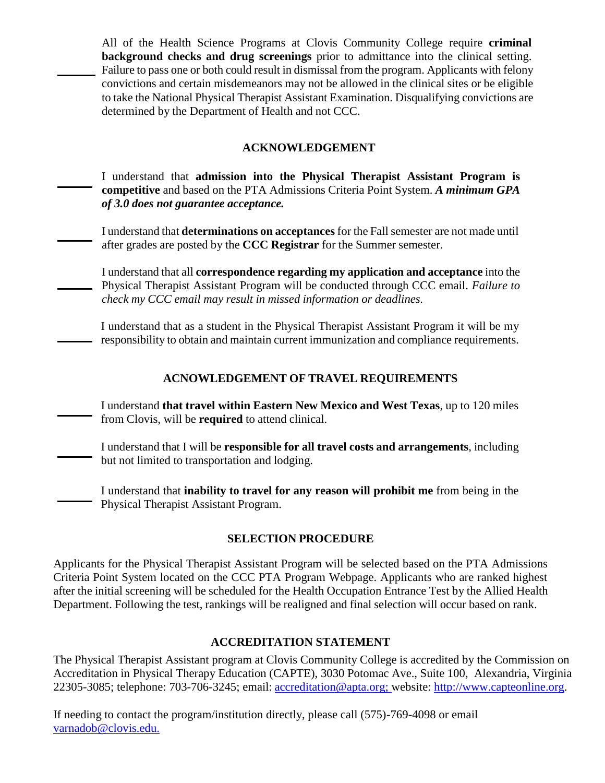All of the Health Science Programs at Clovis Community College require **criminal background checks and drug screenings** prior to admittance into the clinical setting. Failure to pass one or both could result in dismissal from the program. Applicants with felony convictions and certain misdemeanors may not be allowed in the clinical sites or be eligible to take the National Physical Therapist Assistant Examination. Disqualifying convictions are determined by the Department of Health and not CCC.

### **ACKNOWLEDGEMENT**

I understand that **admission into the Physical Therapist Assistant Program is competitive** and based on the PTA Admissions Criteria Point System. *A minimum GPA of 3.0 does not guarantee acceptance.*

I understand that **determinations on acceptances** for the Fallsemester are not made until after grades are posted by the **CCC Registrar** for the Summer semester.

I understand that all **correspondence regarding my application and acceptance** into the Physical Therapist Assistant Program will be conducted through CCC email. *Failure to check my CCC email may result in missed information or deadlines.*

I understand that as a student in the Physical Therapist Assistant Program it will be my - responsibility to obtain and maintain current immunization and compliance requirements.

### **ACNOWLEDGEMENT OF TRAVEL REQUIREMENTS**

I understand **that travel within Eastern New Mexico and West Texas**, up to 120 miles from Clovis, will be **required** to attend clinical.

I understand that I will be **responsible for all travel costs and arrangements**, including but not limited to transportation and lodging.

I understand that **inability to travel for any reason will prohibit me** from being in the Physical Therapist Assistant Program.

### **SELECTION PROCEDURE**

Applicants for the Physical Therapist Assistant Program will be selected based on the PTA Admissions Criteria Point System located on the CCC PTA Program Webpage. Applicants who are ranked highest after the initial screening will be scheduled for the Health Occupation Entrance Test by the Allied Health Department. Following the test, rankings will be realigned and final selection will occur based on rank.

### **ACCREDITATION STATEMENT**

The Physical Therapist Assistant program at Clovis Community College is accredited by the Commission on Accreditation in Physical Therapy Education (CAPTE), 3030 Potomac Ave., Suite 100, Alexandria, Virginia 22305-3085; telephone: 703-706-3245; email: [accreditation@apta.org;](mailto:accreditation@apta.org) website: [http://www.capteonline.org.](http://www.capteonline.org/)

If needing to contact the program/institution directly, please call (575)-769-4098 or email [varnadob@clovis.edu.](mailto:varnadob@clovis.edu.)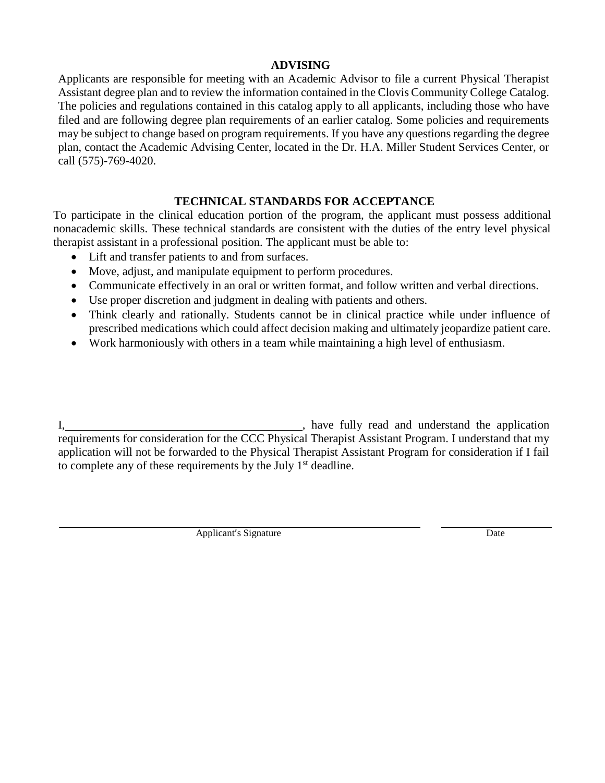### **ADVISING**

Applicants are responsible for meeting with an Academic Advisor to file a current Physical Therapist Assistant degree plan and to review the information contained in the Clovis Community College Catalog. The policies and regulations contained in this catalog apply to all applicants, including those who have filed and are following degree plan requirements of an earlier catalog. Some policies and requirements may be subject to change based on program requirements. If you have any questions regarding the degree plan, contact the Academic Advising Center, located in the Dr. H.A. Miller Student Services Center, or call (575)-769-4020.

### **TECHNICAL STANDARDS FOR ACCEPTANCE**

To participate in the clinical education portion of the program, the applicant must possess additional nonacademic skills. These technical standards are consistent with the duties of the entry level physical therapist assistant in a professional position. The applicant must be able to:

- Lift and transfer patients to and from surfaces.
- Move, adjust, and manipulate equipment to perform procedures.
- Communicate effectively in an oral or written format, and follow written and verbal directions.
- Use proper discretion and judgment in dealing with patients and others.
- Think clearly and rationally. Students cannot be in clinical practice while under influence of prescribed medications which could affect decision making and ultimately jeopardize patient care.
- Work harmoniously with others in a team while maintaining a high level of enthusiasm.

I, have fully read and understand the application requirements for consideration for the CCC Physical Therapist Assistant Program. I understand that my application will not be forwarded to the Physical Therapist Assistant Program for consideration if I fail to complete any of these requirements by the July  $1<sup>st</sup>$  deadline.

Applicant's Signature Date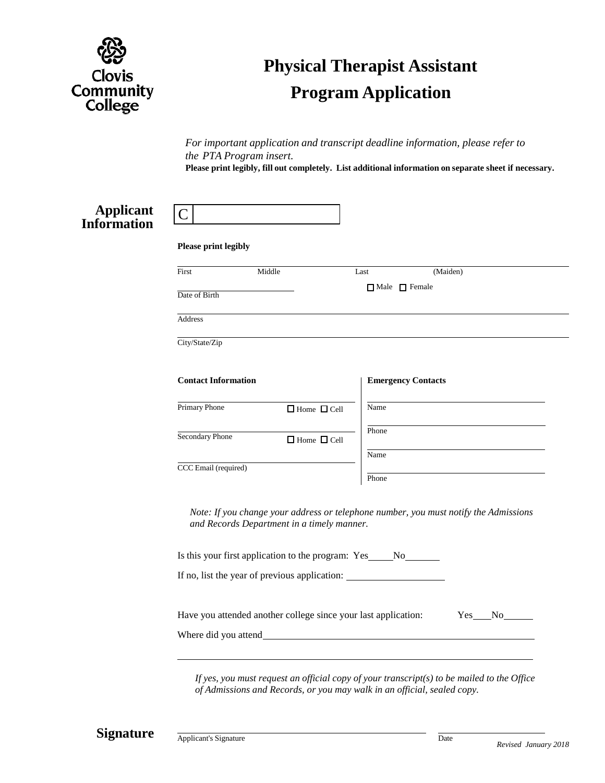

# **Physical Therapist Assistant Program Application**

*For important application and transcript deadline information, please refer to the PTA Program insert.*

**Please print legibly, fill out completely. List additional information on separate sheet if necessary.**

### **Applicant Information**

| Please print legibly                                               |                                                                                                                                    |                           |                           |             |  |  |
|--------------------------------------------------------------------|------------------------------------------------------------------------------------------------------------------------------------|---------------------------|---------------------------|-------------|--|--|
| First                                                              | Middle                                                                                                                             | Last                      | (Maiden)                  |             |  |  |
| Date of Birth                                                      |                                                                                                                                    | $\Box$ Male $\Box$ Female |                           |             |  |  |
| Address                                                            |                                                                                                                                    |                           |                           |             |  |  |
| City/State/Zip                                                     |                                                                                                                                    |                           |                           |             |  |  |
| <b>Contact Information</b>                                         |                                                                                                                                    |                           | <b>Emergency Contacts</b> |             |  |  |
| Primary Phone                                                      | $\Box$ Home $\  \  \, \Box$ Cell                                                                                                   | Name                      |                           |             |  |  |
| Secondary Phone<br>$\Box$ Home $\Box$ Cell<br>CCC Email (required) |                                                                                                                                    | Phone<br>Name             |                           |             |  |  |
|                                                                    |                                                                                                                                    | Phone                     |                           |             |  |  |
|                                                                    | Note: If you change your address or telephone number, you must notify the Admissions<br>and Records Department in a timely manner. |                           |                           |             |  |  |
|                                                                    | Is this your first application to the program: Yes ______ No________                                                               |                           |                           |             |  |  |
|                                                                    | If no, list the year of previous application:                                                                                      |                           |                           |             |  |  |
|                                                                    | Have you attended another college since your last application:                                                                     |                           |                           | Yes<br>No r |  |  |
| Where did you attend                                               |                                                                                                                                    |                           |                           |             |  |  |

*If yes, you must request an official copy of your transcript(s) to be mailed to the Office of Admissions and Records, or you may walk in an official, sealed copy.*

**Signature** Applicant's Signature Date